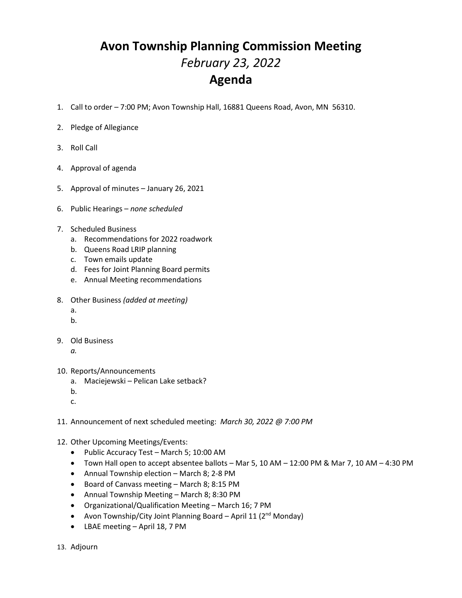## **Avon Township Planning Commission Meeting** *February 23, 2022* **Agenda**

- 1. Call to order 7:00 PM; Avon Township Hall, 16881 Queens Road, Avon, MN 56310.
- 2. Pledge of Allegiance
- 3. Roll Call
- 4. Approval of agenda
- 5. Approval of minutes January 26, 2021
- 6. Public Hearings *none scheduled*
- 7. Scheduled Business
	- a. Recommendations for 2022 roadwork
	- b. Queens Road LRIP planning
	- c. Town emails update
	- d. Fees for Joint Planning Board permits
	- e. Annual Meeting recommendations
- 8. Other Business *(added at meeting)*
	- a.
	- b.
- 9. Old Business
	- *a.*
- 10. Reports/Announcements
	- a. Maciejewski Pelican Lake setback?
	- b.
	- c.
- 11. Announcement of next scheduled meeting: *March 30, 2022 @ 7:00 PM*
- 12. Other Upcoming Meetings/Events:
	- Public Accuracy Test March 5; 10:00 AM
	- Town Hall open to accept absentee ballots Mar 5, 10 AM 12:00 PM & Mar 7, 10 AM 4:30 PM
	- Annual Township election March 8; 2-8 PM
	- Board of Canvass meeting March 8; 8:15 PM
	- Annual Township Meeting March 8; 8:30 PM
	- Organizational/Qualification Meeting March 16; 7 PM
	- Avon Township/City Joint Planning Board April 11 (2<sup>nd</sup> Monday)
	- LBAE meeting April 18, 7 PM

13. Adjourn